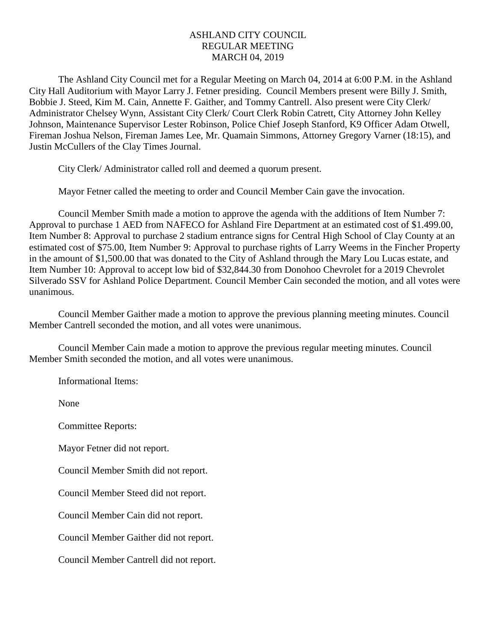## ASHLAND CITY COUNCIL REGULAR MEETING MARCH 04, 2019

The Ashland City Council met for a Regular Meeting on March 04, 2014 at 6:00 P.M. in the Ashland City Hall Auditorium with Mayor Larry J. Fetner presiding. Council Members present were Billy J. Smith, Bobbie J. Steed, Kim M. Cain, Annette F. Gaither, and Tommy Cantrell. Also present were City Clerk/ Administrator Chelsey Wynn, Assistant City Clerk/ Court Clerk Robin Catrett, City Attorney John Kelley Johnson, Maintenance Supervisor Lester Robinson, Police Chief Joseph Stanford, K9 Officer Adam Otwell, Fireman Joshua Nelson, Fireman James Lee, Mr. Quamain Simmons, Attorney Gregory Varner (18:15), and Justin McCullers of the Clay Times Journal.

City Clerk/ Administrator called roll and deemed a quorum present.

Mayor Fetner called the meeting to order and Council Member Cain gave the invocation.

Council Member Smith made a motion to approve the agenda with the additions of Item Number 7: Approval to purchase 1 AED from NAFECO for Ashland Fire Department at an estimated cost of \$1.499.00, Item Number 8: Approval to purchase 2 stadium entrance signs for Central High School of Clay County at an estimated cost of \$75.00, Item Number 9: Approval to purchase rights of Larry Weems in the Fincher Property in the amount of \$1,500.00 that was donated to the City of Ashland through the Mary Lou Lucas estate, and Item Number 10: Approval to accept low bid of \$32,844.30 from Donohoo Chevrolet for a 2019 Chevrolet Silverado SSV for Ashland Police Department. Council Member Cain seconded the motion, and all votes were unanimous.

Council Member Gaither made a motion to approve the previous planning meeting minutes. Council Member Cantrell seconded the motion, and all votes were unanimous.

Council Member Cain made a motion to approve the previous regular meeting minutes. Council Member Smith seconded the motion, and all votes were unanimous.

Informational Items:

None

Committee Reports:

Mayor Fetner did not report.

Council Member Smith did not report.

Council Member Steed did not report.

Council Member Cain did not report.

Council Member Gaither did not report.

Council Member Cantrell did not report.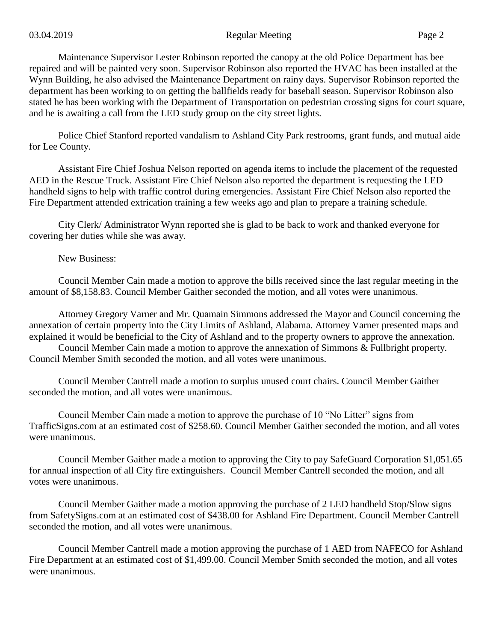Maintenance Supervisor Lester Robinson reported the canopy at the old Police Department has bee repaired and will be painted very soon. Supervisor Robinson also reported the HVAC has been installed at the Wynn Building, he also advised the Maintenance Department on rainy days. Supervisor Robinson reported the department has been working to on getting the ballfields ready for baseball season. Supervisor Robinson also stated he has been working with the Department of Transportation on pedestrian crossing signs for court square, and he is awaiting a call from the LED study group on the city street lights.

Police Chief Stanford reported vandalism to Ashland City Park restrooms, grant funds, and mutual aide for Lee County.

Assistant Fire Chief Joshua Nelson reported on agenda items to include the placement of the requested AED in the Rescue Truck. Assistant Fire Chief Nelson also reported the department is requesting the LED handheld signs to help with traffic control during emergencies. Assistant Fire Chief Nelson also reported the Fire Department attended extrication training a few weeks ago and plan to prepare a training schedule.

City Clerk/ Administrator Wynn reported she is glad to be back to work and thanked everyone for covering her duties while she was away.

New Business:

Council Member Cain made a motion to approve the bills received since the last regular meeting in the amount of \$8,158.83. Council Member Gaither seconded the motion, and all votes were unanimous.

Attorney Gregory Varner and Mr. Quamain Simmons addressed the Mayor and Council concerning the annexation of certain property into the City Limits of Ashland, Alabama. Attorney Varner presented maps and explained it would be beneficial to the City of Ashland and to the property owners to approve the annexation.

Council Member Cain made a motion to approve the annexation of Simmons & Fullbright property. Council Member Smith seconded the motion, and all votes were unanimous.

Council Member Cantrell made a motion to surplus unused court chairs. Council Member Gaither seconded the motion, and all votes were unanimous.

Council Member Cain made a motion to approve the purchase of 10 "No Litter" signs from TrafficSigns.com at an estimated cost of \$258.60. Council Member Gaither seconded the motion, and all votes were unanimous.

Council Member Gaither made a motion to approving the City to pay SafeGuard Corporation \$1,051.65 for annual inspection of all City fire extinguishers. Council Member Cantrell seconded the motion, and all votes were unanimous.

Council Member Gaither made a motion approving the purchase of 2 LED handheld Stop/Slow signs from SafetySigns.com at an estimated cost of \$438.00 for Ashland Fire Department. Council Member Cantrell seconded the motion, and all votes were unanimous.

Council Member Cantrell made a motion approving the purchase of 1 AED from NAFECO for Ashland Fire Department at an estimated cost of \$1,499.00. Council Member Smith seconded the motion, and all votes were unanimous.